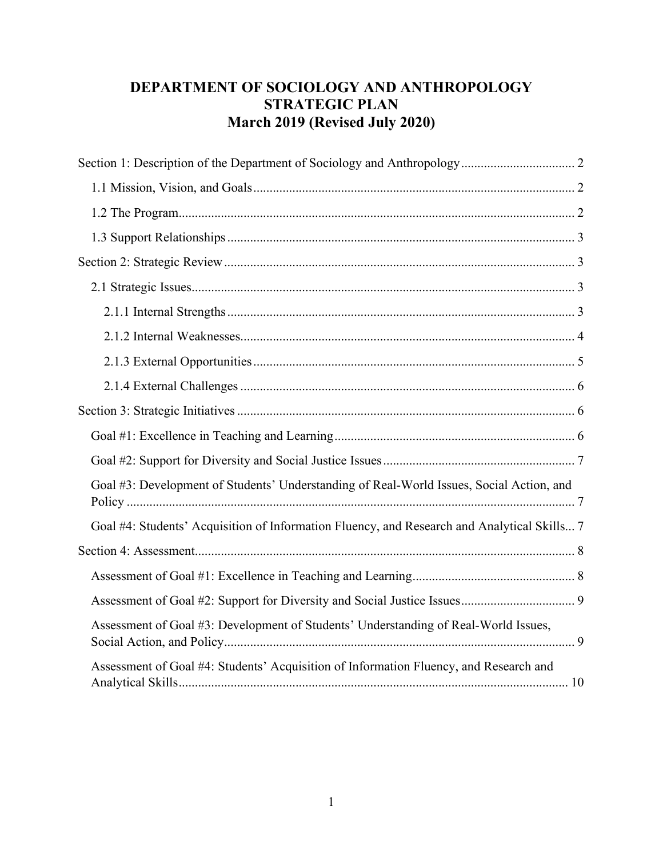# **DEPARTMENT OF SOCIOLOGY AND ANTHROPOLOGY STRATEGIC PLAN March 2019 (Revised July 2020)**

| Goal #3: Development of Students' Understanding of Real-World Issues, Social Action, and    |
|---------------------------------------------------------------------------------------------|
| Goal #4: Students' Acquisition of Information Fluency, and Research and Analytical Skills 7 |
|                                                                                             |
|                                                                                             |
|                                                                                             |
| Assessment of Goal #3: Development of Students' Understanding of Real-World Issues,         |
| Assessment of Goal #4: Students' Acquisition of Information Fluency, and Research and       |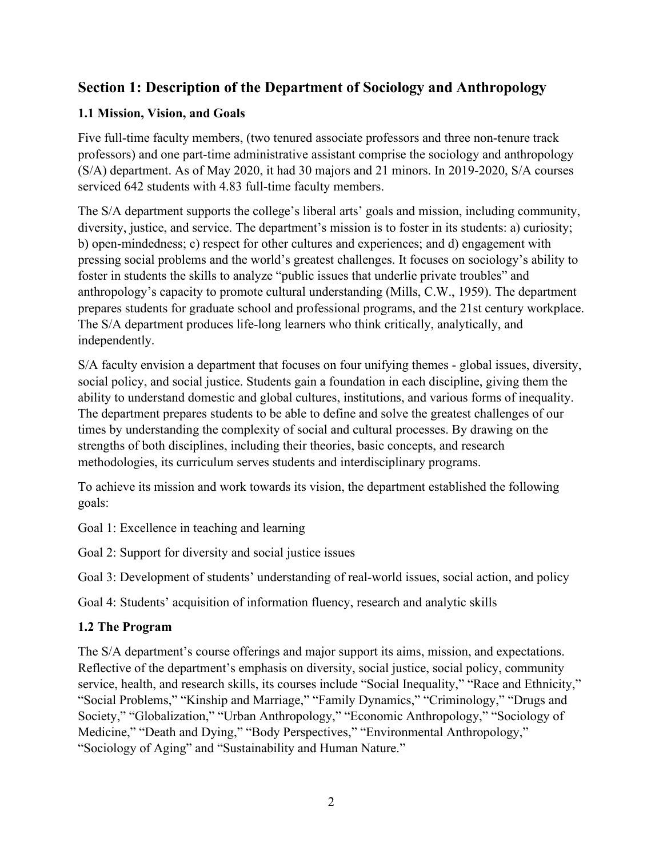# <span id="page-1-0"></span>**Section 1: Description of the Department of Sociology and Anthropology**

## <span id="page-1-1"></span>**1.1 Mission, Vision, and Goals**

Five full-time faculty members, (two tenured associate professors and three non-tenure track professors) and one part-time administrative assistant comprise the sociology and anthropology (S/A) department. As of May 2020, it had 30 majors and 21 minors. In 2019-2020, S/A courses serviced 642 students with 4.83 full-time faculty members.

The S/A department supports the college's liberal arts' goals and mission, including community, diversity, justice, and service. The department's mission is to foster in its students: a) curiosity; b) open-mindedness; c) respect for other cultures and experiences; and d) engagement with pressing social problems and the world's greatest challenges. It focuses on sociology's ability to foster in students the skills to analyze "public issues that underlie private troubles" and anthropology's capacity to promote cultural understanding (Mills, C.W., 1959). The department prepares students for graduate school and professional programs, and the 21st century workplace. The S/A department produces life-long learners who think critically, analytically, and independently.

S/A faculty envision a department that focuses on four unifying themes - global issues, diversity, social policy, and social justice. Students gain a foundation in each discipline, giving them the ability to understand domestic and global cultures, institutions, and various forms of inequality. The department prepares students to be able to define and solve the greatest challenges of our times by understanding the complexity of social and cultural processes. By drawing on the strengths of both disciplines, including their theories, basic concepts, and research methodologies, its curriculum serves students and interdisciplinary programs.

To achieve its mission and work towards its vision, the department established the following goals:

Goal 1: Excellence in teaching and learning

Goal 2: Support for diversity and social justice issues

Goal 3: Development of students' understanding of real-world issues, social action, and policy

Goal 4: Students' acquisition of information fluency, research and analytic skills

#### <span id="page-1-2"></span>**1.2 The Program**

The S/A department's course offerings and major support its aims, mission, and expectations. Reflective of the department's emphasis on diversity, social justice, social policy, community service, health, and research skills, its courses include "Social Inequality," "Race and Ethnicity," "Social Problems," "Kinship and Marriage," "Family Dynamics," "Criminology," "Drugs and Society," "Globalization," "Urban Anthropology," "Economic Anthropology," "Sociology of Medicine," "Death and Dying," "Body Perspectives," "Environmental Anthropology," "Sociology of Aging" and "Sustainability and Human Nature."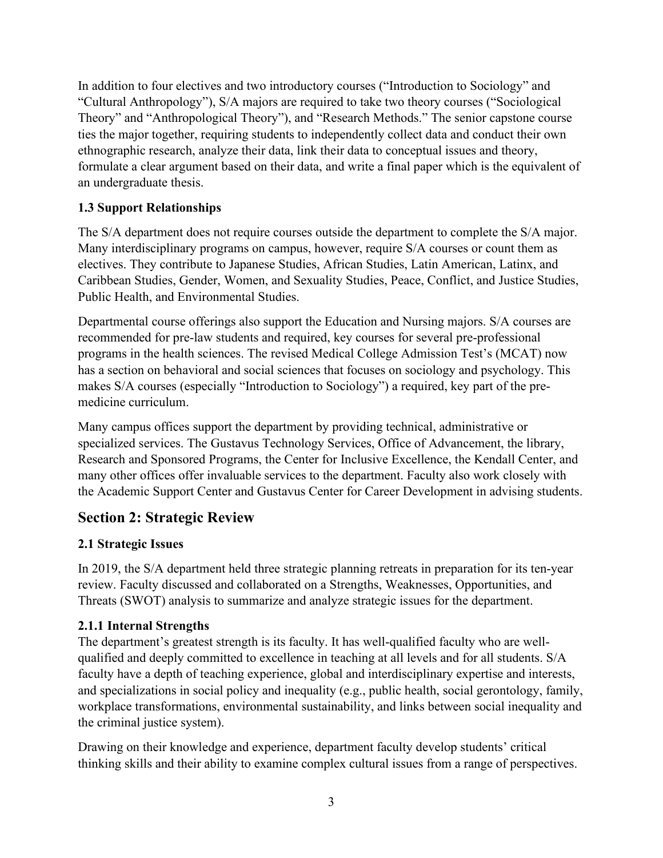In addition to four electives and two introductory courses ("Introduction to Sociology" and "Cultural Anthropology"), S/A majors are required to take two theory courses ("Sociological Theory" and "Anthropological Theory"), and "Research Methods." The senior capstone course ties the major together, requiring students to independently collect data and conduct their own ethnographic research, analyze their data, link their data to conceptual issues and theory, formulate a clear argument based on their data, and write a final paper which is the equivalent of an undergraduate thesis.

# <span id="page-2-0"></span>**1.3 Support Relationships**

The S/A department does not require courses outside the department to complete the S/A major. Many interdisciplinary programs on campus, however, require S/A courses or count them as electives. They contribute to Japanese Studies, African Studies, Latin American, Latinx, and Caribbean Studies, Gender, Women, and Sexuality Studies, Peace, Conflict, and Justice Studies, Public Health, and Environmental Studies.

Departmental course offerings also support the Education and Nursing majors. S/A courses are recommended for pre-law students and required, key courses for several pre-professional programs in the health sciences. The revised Medical College Admission Test's (MCAT) now has a section on behavioral and social sciences that focuses on sociology and psychology. This makes S/A courses (especially "Introduction to Sociology") a required, key part of the premedicine curriculum.

Many campus offices support the department by providing technical, administrative or specialized services. The Gustavus Technology Services, Office of Advancement, the library, Research and Sponsored Programs, the Center for Inclusive Excellence, the Kendall Center, and many other offices offer invaluable services to the department. Faculty also work closely with the Academic Support Center and Gustavus Center for Career Development in advising students.

# <span id="page-2-1"></span>**Section 2: Strategic Review**

# <span id="page-2-2"></span>**2.1 Strategic Issues**

In 2019, the S/A department held three strategic planning retreats in preparation for its ten-year review. Faculty discussed and collaborated on a Strengths, Weaknesses, Opportunities, and Threats (SWOT) analysis to summarize and analyze strategic issues for the department.

# <span id="page-2-3"></span>**2.1.1 Internal Strengths**

The department's greatest strength is its faculty. It has well-qualified faculty who are wellqualified and deeply committed to excellence in teaching at all levels and for all students. S/A faculty have a depth of teaching experience, global and interdisciplinary expertise and interests, and specializations in social policy and inequality (e.g., public health, social gerontology, family, workplace transformations, environmental sustainability, and links between social inequality and the criminal justice system).

Drawing on their knowledge and experience, department faculty develop students' critical thinking skills and their ability to examine complex cultural issues from a range of perspectives.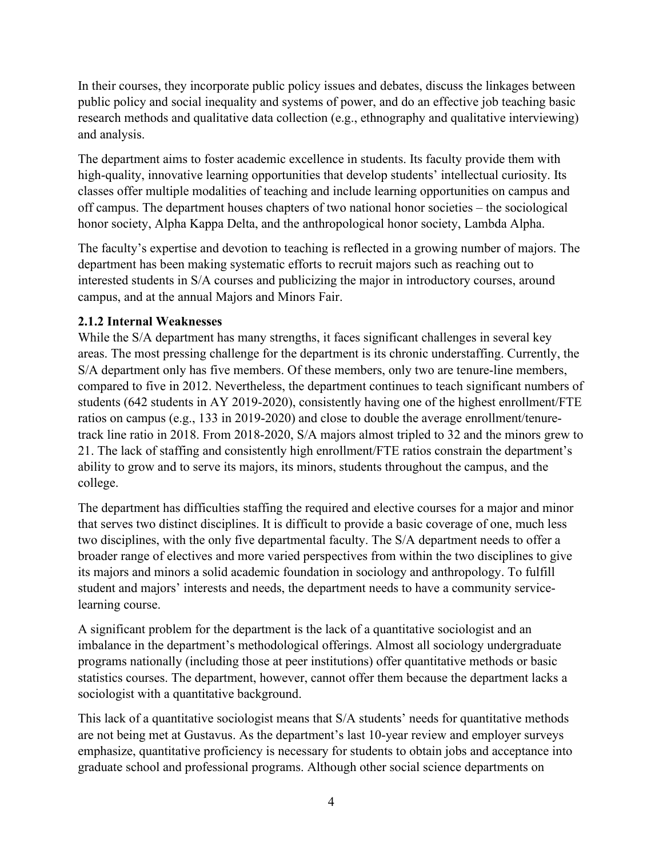In their courses, they incorporate public policy issues and debates, discuss the linkages between public policy and social inequality and systems of power, and do an effective job teaching basic research methods and qualitative data collection (e.g., ethnography and qualitative interviewing) and analysis.

The department aims to foster academic excellence in students. Its faculty provide them with high-quality, innovative learning opportunities that develop students' intellectual curiosity. Its classes offer multiple modalities of teaching and include learning opportunities on campus and off campus. The department houses chapters of two national honor societies – the sociological honor society, Alpha Kappa Delta, and the anthropological honor society, Lambda Alpha.

The faculty's expertise and devotion to teaching is reflected in a growing number of majors. The department has been making systematic efforts to recruit majors such as reaching out to interested students in S/A courses and publicizing the major in introductory courses, around campus, and at the annual Majors and Minors Fair.

## <span id="page-3-0"></span>**2.1.2 Internal Weaknesses**

While the S/A department has many strengths, it faces significant challenges in several key areas. The most pressing challenge for the department is its chronic understaffing. Currently, the S/A department only has five members. Of these members, only two are tenure-line members, compared to five in 2012. Nevertheless, the department continues to teach significant numbers of students (642 students in AY 2019-2020), consistently having one of the highest enrollment/FTE ratios on campus (e.g., 133 in 2019-2020) and close to double the average enrollment/tenuretrack line ratio in 2018. From 2018-2020, S/A majors almost tripled to 32 and the minors grew to 21. The lack of staffing and consistently high enrollment/FTE ratios constrain the department's ability to grow and to serve its majors, its minors, students throughout the campus, and the college.

The department has difficulties staffing the required and elective courses for a major and minor that serves two distinct disciplines. It is difficult to provide a basic coverage of one, much less two disciplines, with the only five departmental faculty. The S/A department needs to offer a broader range of electives and more varied perspectives from within the two disciplines to give its majors and minors a solid academic foundation in sociology and anthropology. To fulfill student and majors' interests and needs, the department needs to have a community servicelearning course.

A significant problem for the department is the lack of a quantitative sociologist and an imbalance in the department's methodological offerings. Almost all sociology undergraduate programs nationally (including those at peer institutions) offer quantitative methods or basic statistics courses. The department, however, cannot offer them because the department lacks a sociologist with a quantitative background.

This lack of a quantitative sociologist means that S/A students' needs for quantitative methods are not being met at Gustavus. As the department's last 10-year review and employer surveys emphasize, quantitative proficiency is necessary for students to obtain jobs and acceptance into graduate school and professional programs. Although other social science departments on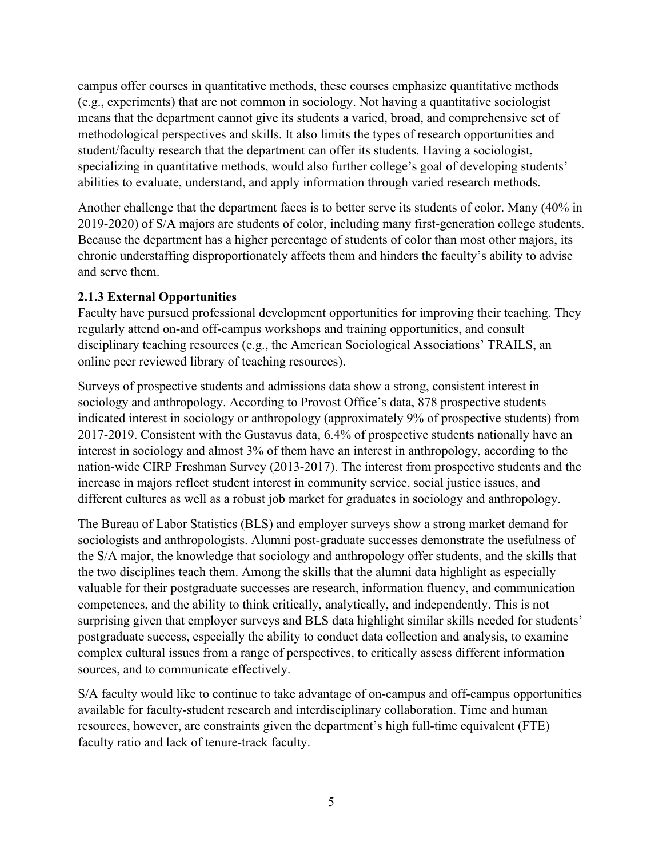campus offer courses in quantitative methods, these courses emphasize quantitative methods (e.g., experiments) that are not common in sociology. Not having a quantitative sociologist means that the department cannot give its students a varied, broad, and comprehensive set of methodological perspectives and skills. It also limits the types of research opportunities and student/faculty research that the department can offer its students. Having a sociologist, specializing in quantitative methods, would also further college's goal of developing students' abilities to evaluate, understand, and apply information through varied research methods.

Another challenge that the department faces is to better serve its students of color. Many (40% in 2019-2020) of S/A majors are students of color, including many first-generation college students. Because the department has a higher percentage of students of color than most other majors, its chronic understaffing disproportionately affects them and hinders the faculty's ability to advise and serve them.

#### <span id="page-4-0"></span>**2.1.3 External Opportunities**

Faculty have pursued professional development opportunities for improving their teaching. They regularly attend on-and off-campus workshops and training opportunities, and consult disciplinary teaching resources (e.g., the American Sociological Associations' TRAILS, an online peer reviewed library of teaching resources).

Surveys of prospective students and admissions data show a strong, consistent interest in sociology and anthropology. According to Provost Office's data, 878 prospective students indicated interest in sociology or anthropology (approximately 9% of prospective students) from 2017-2019. Consistent with the Gustavus data, 6.4% of prospective students nationally have an interest in sociology and almost 3% of them have an interest in anthropology, according to the nation-wide CIRP Freshman Survey (2013-2017). The interest from prospective students and the increase in majors reflect student interest in community service, social justice issues, and different cultures as well as a robust job market for graduates in sociology and anthropology.

The Bureau of Labor Statistics (BLS) and employer surveys show a strong market demand for sociologists and anthropologists. Alumni post-graduate successes demonstrate the usefulness of the S/A major, the knowledge that sociology and anthropology offer students, and the skills that the two disciplines teach them. Among the skills that the alumni data highlight as especially valuable for their postgraduate successes are research, information fluency, and communication competences, and the ability to think critically, analytically, and independently. This is not surprising given that employer surveys and BLS data highlight similar skills needed for students' postgraduate success, especially the ability to conduct data collection and analysis, to examine complex cultural issues from a range of perspectives, to critically assess different information sources, and to communicate effectively.

S/A faculty would like to continue to take advantage of on-campus and off-campus opportunities available for faculty-student research and interdisciplinary collaboration. Time and human resources, however, are constraints given the department's high full-time equivalent (FTE) faculty ratio and lack of tenure-track faculty.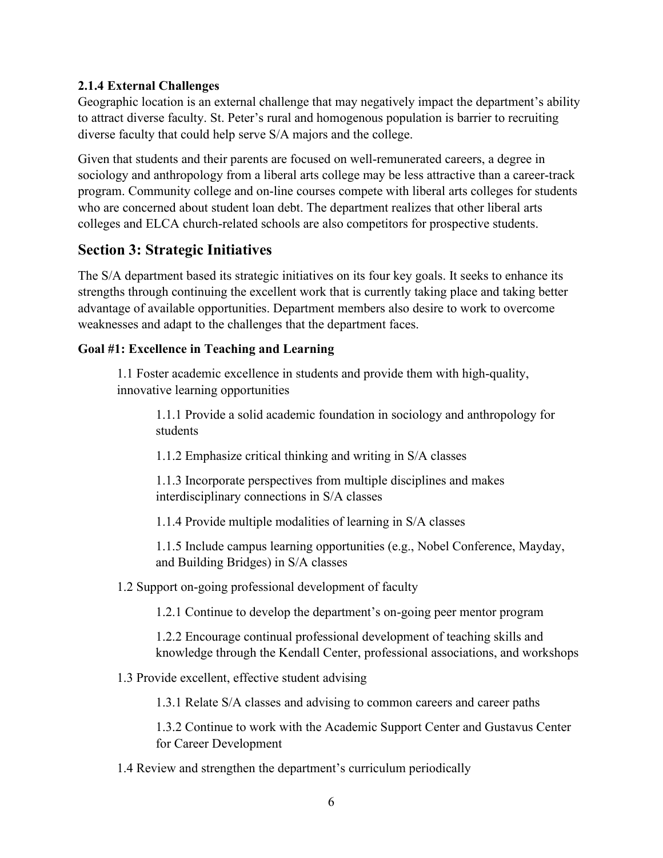#### <span id="page-5-0"></span>**2.1.4 External Challenges**

Geographic location is an external challenge that may negatively impact the department's ability to attract diverse faculty. St. Peter's rural and homogenous population is barrier to recruiting diverse faculty that could help serve S/A majors and the college.

Given that students and their parents are focused on well-remunerated careers, a degree in sociology and anthropology from a liberal arts college may be less attractive than a career-track program. Community college and on-line courses compete with liberal arts colleges for students who are concerned about student loan debt. The department realizes that other liberal arts colleges and ELCA church-related schools are also competitors for prospective students.

# <span id="page-5-1"></span>**Section 3: Strategic Initiatives**

The S/A department based its strategic initiatives on its four key goals. It seeks to enhance its strengths through continuing the excellent work that is currently taking place and taking better advantage of available opportunities. Department members also desire to work to overcome weaknesses and adapt to the challenges that the department faces.

#### <span id="page-5-2"></span>**Goal #1: Excellence in Teaching and Learning**

1.1 Foster academic excellence in students and provide them with high-quality, innovative learning opportunities

1.1.1 Provide a solid academic foundation in sociology and anthropology for students

1.1.2 Emphasize critical thinking and writing in S/A classes

1.1.3 Incorporate perspectives from multiple disciplines and makes interdisciplinary connections in S/A classes

1.1.4 Provide multiple modalities of learning in S/A classes

1.1.5 Include campus learning opportunities (e.g., Nobel Conference, Mayday, and Building Bridges) in S/A classes

#### 1.2 Support on-going professional development of faculty

1.2.1 Continue to develop the department's on-going peer mentor program

1.2.2 Encourage continual professional development of teaching skills and knowledge through the Kendall Center, professional associations, and workshops

1.3 Provide excellent, effective student advising

1.3.1 Relate S/A classes and advising to common careers and career paths

1.3.2 Continue to work with the Academic Support Center and Gustavus Center for Career Development

1.4 Review and strengthen the department's curriculum periodically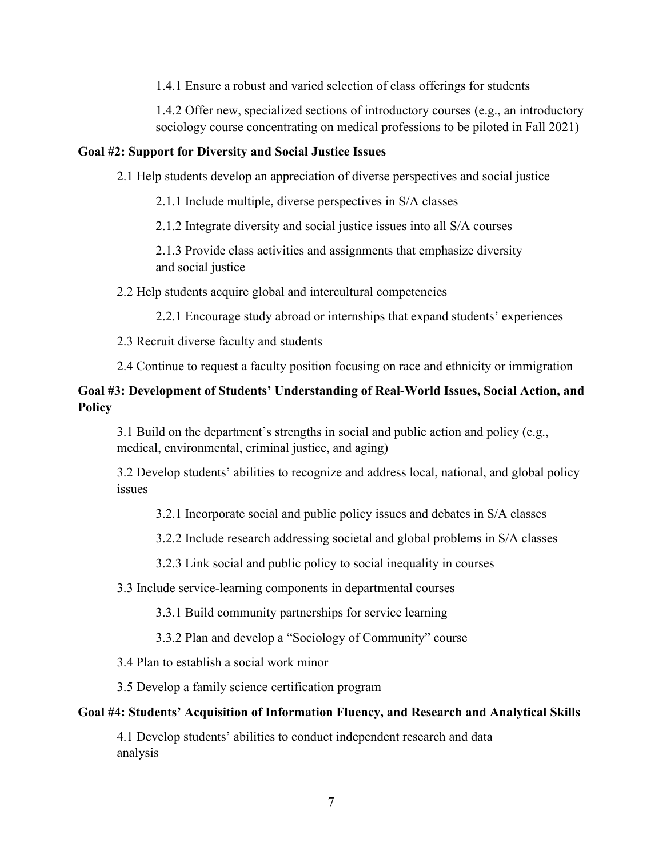1.4.1 Ensure a robust and varied selection of class offerings for students

1.4.2 Offer new, specialized sections of introductory courses (e.g., an introductory sociology course concentrating on medical professions to be piloted in Fall 2021)

#### <span id="page-6-0"></span>**Goal #2: Support for Diversity and Social Justice Issues**

2.1 Help students develop an appreciation of diverse perspectives and social justice

2.1.1 Include multiple, diverse perspectives in S/A classes

2.1.2 Integrate diversity and social justice issues into all S/A courses

2.1.3 Provide class activities and assignments that emphasize diversity and social justice

2.2 Help students acquire global and intercultural competencies

2.2.1 Encourage study abroad or internships that expand students' experiences

2.3 Recruit diverse faculty and students

2.4 Continue to request a faculty position focusing on race and ethnicity or immigration

## <span id="page-6-1"></span>**Goal #3: Development of Students' Understanding of Real-World Issues, Social Action, and Policy**

3.1 Build on the department's strengths in social and public action and policy (e.g., medical, environmental, criminal justice, and aging)

3.2 Develop students' abilities to recognize and address local, national, and global policy issues

3.2.1 Incorporate social and public policy issues and debates in S/A classes

3.2.2 Include research addressing societal and global problems in S/A classes

3.2.3 Link social and public policy to social inequality in courses

3.3 Include service-learning components in departmental courses

3.3.1 Build community partnerships for service learning

3.3.2 Plan and develop a "Sociology of Community" course

3.4 Plan to establish a social work minor

3.5 Develop a family science certification program

#### <span id="page-6-2"></span>**Goal #4: Students' Acquisition of Information Fluency, and Research and Analytical Skills**

4.1 Develop students' abilities to conduct independent research and data analysis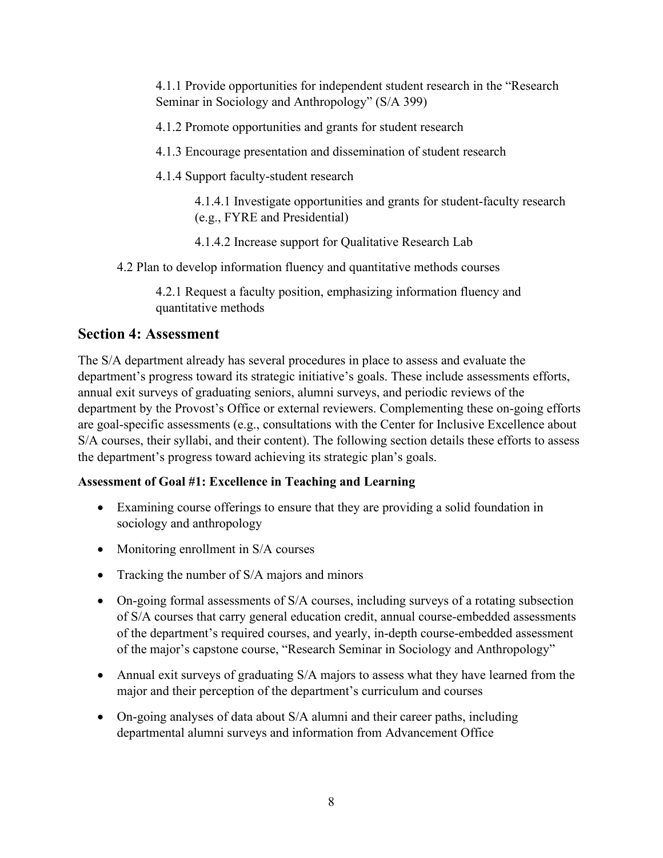4.1.1 Provide opportunities for independent student research in the "Research Seminar in Sociology and Anthropology" (S/A 399)

4.1.2 Promote opportunities and grants for student research

4.1.3 Encourage presentation and dissemination of student research

4.1.4 Support faculty-student research

4.1.4.1 Investigate opportunities and grants for student-faculty research (e.g., FYRE and Presidential)

4.1.4.2 Increase support for Qualitative Research Lab

4.2 Plan to develop information fluency and quantitative methods courses

4.2.1 Request a faculty position, emphasizing information fluency and quantitative methods

# <span id="page-7-0"></span>**Section 4: Assessment**

The S/A department already has several procedures in place to assess and evaluate the department's progress toward its strategic initiative's goals. These include assessments efforts, annual exit surveys of graduating seniors, alumni surveys, and periodic reviews of the department by the Provost's Office or external reviewers. Complementing these on-going efforts are goal-specific assessments (e.g., consultations with the Center for Inclusive Excellence about S/A courses, their syllabi, and their content). The following section details these efforts to assess the department's progress toward achieving its strategic plan's goals.

# <span id="page-7-1"></span>**Assessment of Goal #1: Excellence in Teaching and Learning**

- Examining course offerings to ensure that they are providing a solid foundation in sociology and anthropology
- Monitoring enrollment in S/A courses
- Tracking the number of S/A majors and minors
- On-going formal assessments of S/A courses, including surveys of a rotating subsection of S/A courses that carry general education credit, annual course-embedded assessments of the department's required courses, and yearly, in-depth course-embedded assessment of the major's capstone course, "Research Seminar in Sociology and Anthropology"
- Annual exit surveys of graduating S/A majors to assess what they have learned from the major and their perception of the department's curriculum and courses
- On-going analyses of data about S/A alumni and their career paths, including departmental alumni surveys and information from Advancement Office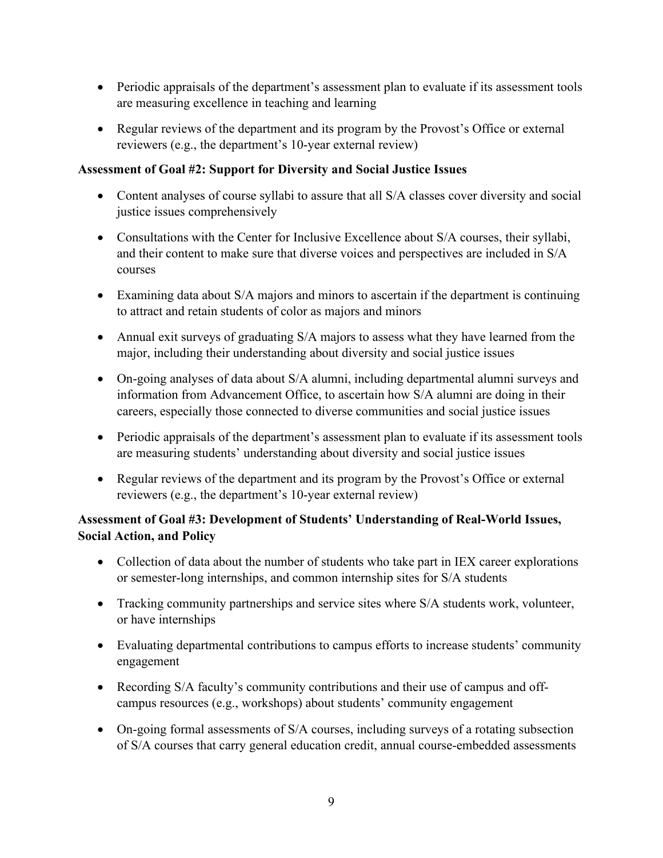- Periodic appraisals of the department's assessment plan to evaluate if its assessment tools are measuring excellence in teaching and learning
- Regular reviews of the department and its program by the Provost's Office or external reviewers (e.g., the department's 10-year external review)

#### <span id="page-8-0"></span>**Assessment of Goal #2: Support for Diversity and Social Justice Issues**

- Content analyses of course syllabi to assure that all S/A classes cover diversity and social justice issues comprehensively
- Consultations with the Center for Inclusive Excellence about S/A courses, their syllabi, and their content to make sure that diverse voices and perspectives are included in S/A courses
- Examining data about S/A majors and minors to ascertain if the department is continuing to attract and retain students of color as majors and minors
- Annual exit surveys of graduating S/A majors to assess what they have learned from the major, including their understanding about diversity and social justice issues
- On-going analyses of data about S/A alumni, including departmental alumni surveys and information from Advancement Office, to ascertain how S/A alumni are doing in their careers, especially those connected to diverse communities and social justice issues
- Periodic appraisals of the department's assessment plan to evaluate if its assessment tools are measuring students' understanding about diversity and social justice issues
- Regular reviews of the department and its program by the Provost's Office or external reviewers (e.g., the department's 10-year external review)

## <span id="page-8-1"></span>**Assessment of Goal #3: Development of Students' Understanding of Real-World Issues, Social Action, and Policy**

- Collection of data about the number of students who take part in IEX career explorations or semester‐long internships, and common internship sites for S/A students
- Tracking community partnerships and service sites where S/A students work, volunteer, or have internships
- Evaluating departmental contributions to campus efforts to increase students' community engagement
- Recording S/A faculty's community contributions and their use of campus and offcampus resources (e.g., workshops) about students' community engagement
- On-going formal assessments of S/A courses, including surveys of a rotating subsection of S/A courses that carry general education credit, annual course-embedded assessments